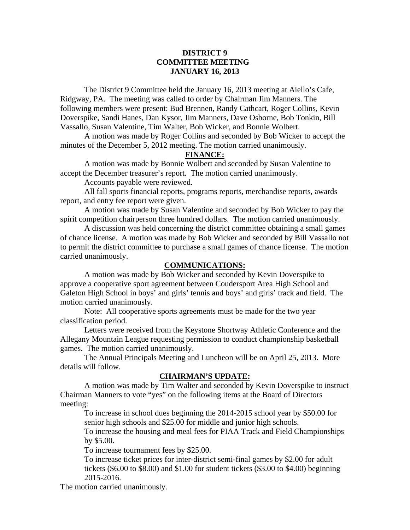## **DISTRICT 9 COMMITTEE MEETING JANUARY 16, 2013**

 The District 9 Committee held the January 16, 2013 meeting at Aiello's Cafe, Ridgway, PA. The meeting was called to order by Chairman Jim Manners. The following members were present: Bud Brennen, Randy Cathcart, Roger Collins, Kevin Doverspike, Sandi Hanes, Dan Kysor, Jim Manners, Dave Osborne, Bob Tonkin, Bill Vassallo, Susan Valentine, Tim Walter, Bob Wicker, and Bonnie Wolbert.

 A motion was made by Roger Collins and seconded by Bob Wicker to accept the minutes of the December 5, 2012 meeting. The motion carried unanimously.

# **FINANCE:**

A motion was made by Bonnie Wolbert and seconded by Susan Valentine to accept the December treasurer's report. The motion carried unanimously.

Accounts payable were reviewed.

 All fall sports financial reports, programs reports, merchandise reports, awards report, and entry fee report were given.

 A motion was made by Susan Valentine and seconded by Bob Wicker to pay the spirit competition chairperson three hundred dollars. The motion carried unanimously.

 A discussion was held concerning the district committee obtaining a small games of chance license. A motion was made by Bob Wicker and seconded by Bill Vassallo not to permit the district committee to purchase a small games of chance license. The motion carried unanimously.

#### **COMMUNICATIONS:**

 A motion was made by Bob Wicker and seconded by Kevin Doverspike to approve a cooperative sport agreement between Coudersport Area High School and Galeton High School in boys' and girls' tennis and boys' and girls' track and field. The motion carried unanimously.

 Note: All cooperative sports agreements must be made for the two year classification period.

 Letters were received from the Keystone Shortway Athletic Conference and the Allegany Mountain League requesting permission to conduct championship basketball games. The motion carried unanimously.

 The Annual Principals Meeting and Luncheon will be on April 25, 2013. More details will follow.

## **CHAIRMAN'S UPDATE:**

 A motion was made by Tim Walter and seconded by Kevin Doverspike to instruct Chairman Manners to vote "yes" on the following items at the Board of Directors meeting:

To increase in school dues beginning the 2014-2015 school year by \$50.00 for senior high schools and \$25.00 for middle and junior high schools.

To increase the housing and meal fees for PIAA Track and Field Championships by \$5.00.

To increase tournament fees by \$25.00.

To increase ticket prices for inter-district semi-final games by \$2.00 for adult tickets (\$6.00 to \$8.00) and \$1.00 for student tickets (\$3.00 to \$4.00) beginning 2015-2016.

The motion carried unanimously.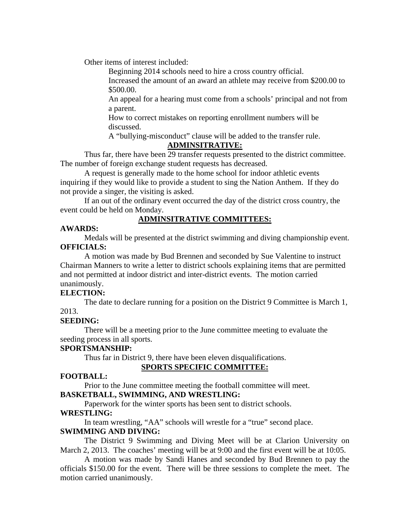Other items of interest included:

Beginning 2014 schools need to hire a cross country official.

Increased the amount of an award an athlete may receive from \$200.00 to \$500.00.

An appeal for a hearing must come from a schools' principal and not from a parent.

How to correct mistakes on reporting enrollment numbers will be discussed.

A "bullying-misconduct" clause will be added to the transfer rule.

## **ADMINSITRATIVE:**

Thus far, there have been 29 transfer requests presented to the district committee. The number of foreign exchange student requests has decreased.

 A request is generally made to the home school for indoor athletic events inquiring if they would like to provide a student to sing the Nation Anthem. If they do not provide a singer, the visiting is asked.

 If an out of the ordinary event occurred the day of the district cross country, the event could be held on Monday.

# **ADMINSITRATIVE COMMITTEES:**

## **AWARDS:**

 Medals will be presented at the district swimming and diving championship event. **OFFICIALS:** 

 A motion was made by Bud Brennen and seconded by Sue Valentine to instruct Chairman Manners to write a letter to district schools explaining items that are permitted and not permitted at indoor district and inter-district events. The motion carried unanimously.

## **ELECTION:**

 The date to declare running for a position on the District 9 Committee is March 1, 2013.

## **SEEDING:**

 There will be a meeting prior to the June committee meeting to evaluate the seeding process in all sports.

## **SPORTSMANSHIP:**

Thus far in District 9, there have been eleven disqualifications.

## **SPORTS SPECIFIC COMMITTEE:**

## **FOOTBALL:**

Prior to the June committee meeting the football committee will meet.

# **BASKETBALL, SWIMMING, AND WRESTLING:**

Paperwork for the winter sports has been sent to district schools.

#### **WRESTLING:**

In team wrestling, "AA" schools will wrestle for a "true" second place.

## **SWIMMING AND DIVING:**

The District 9 Swimming and Diving Meet will be at Clarion University on March 2, 2013. The coaches' meeting will be at 9:00 and the first event will be at 10:05.

 A motion was made by Sandi Hanes and seconded by Bud Brennen to pay the officials \$150.00 for the event. There will be three sessions to complete the meet. The motion carried unanimously.